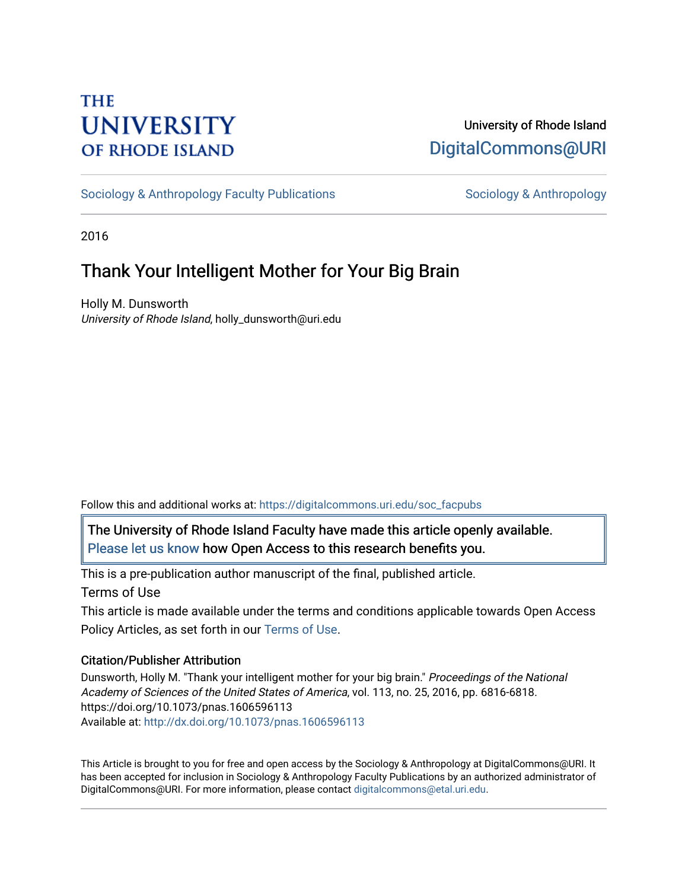# **THE UNIVERSITY OF RHODE ISLAND**

### University of Rhode Island [DigitalCommons@URI](https://digitalcommons.uri.edu/)

[Sociology & Anthropology Faculty Publications](https://digitalcommons.uri.edu/soc_facpubs) [Sociology & Anthropology](https://digitalcommons.uri.edu/soc) & Anthropology

2016

## Thank Your Intelligent Mother for Your Big Brain

Holly M. Dunsworth University of Rhode Island, holly\_dunsworth@uri.edu

Follow this and additional works at: [https://digitalcommons.uri.edu/soc\\_facpubs](https://digitalcommons.uri.edu/soc_facpubs?utm_source=digitalcommons.uri.edu%2Fsoc_facpubs%2F11&utm_medium=PDF&utm_campaign=PDFCoverPages) 

The University of Rhode Island Faculty have made this article openly available. [Please let us know](http://web.uri.edu/library-digital-initiatives/open-access-online-form/) how Open Access to this research benefits you.

This is a pre-publication author manuscript of the final, published article.

Terms of Use

This article is made available under the terms and conditions applicable towards Open Access Policy Articles, as set forth in our [Terms of Use](https://digitalcommons.uri.edu/soc_facpubs/oa_policy_terms.html).

#### Citation/Publisher Attribution

Dunsworth, Holly M. "Thank your intelligent mother for your big brain." Proceedings of the National Academy of Sciences of the United States of America, vol. 113, no. 25, 2016, pp. 6816-6818. https://doi.org/10.1073/pnas.1606596113 Available at:<http://dx.doi.org/10.1073/pnas.1606596113>

This Article is brought to you for free and open access by the Sociology & Anthropology at DigitalCommons@URI. It has been accepted for inclusion in Sociology & Anthropology Faculty Publications by an authorized administrator of DigitalCommons@URI. For more information, please contact [digitalcommons@etal.uri.edu.](mailto:digitalcommons@etal.uri.edu)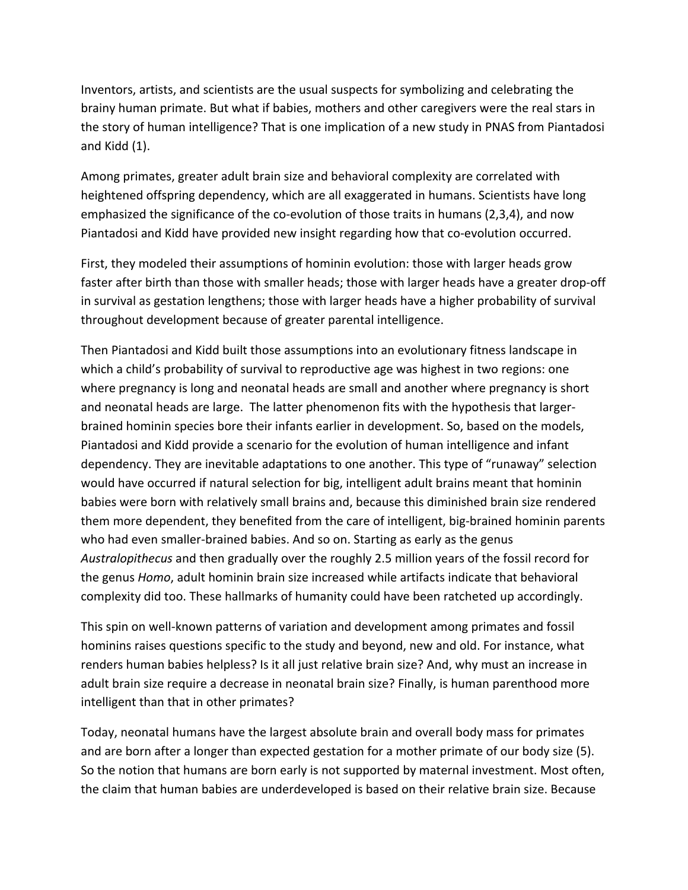Inventors, artists, and scientists are the usual suspects for symbolizing and celebrating the brainy human primate. But what if babies, mothers and other caregivers were the real stars in the story of human intelligence? That is one implication of a new study in PNAS from Piantadosi and Kidd  $(1)$ .

Among primates, greater adult brain size and behavioral complexity are correlated with heightened offspring dependency, which are all exaggerated in humans. Scientists have long emphasized the significance of the co-evolution of those traits in humans (2,3,4), and now Piantadosi and Kidd have provided new insight regarding how that co-evolution occurred.

First, they modeled their assumptions of hominin evolution: those with larger heads grow faster after birth than those with smaller heads; those with larger heads have a greater drop-off in survival as gestation lengthens; those with larger heads have a higher probability of survival throughout development because of greater parental intelligence.

Then Piantadosi and Kidd built those assumptions into an evolutionary fitness landscape in which a child's probability of survival to reproductive age was highest in two regions: one where pregnancy is long and neonatal heads are small and another where pregnancy is short and neonatal heads are large. The latter phenomenon fits with the hypothesis that largerbrained hominin species bore their infants earlier in development. So, based on the models, Piantadosi and Kidd provide a scenario for the evolution of human intelligence and infant dependency. They are inevitable adaptations to one another. This type of "runaway" selection would have occurred if natural selection for big, intelligent adult brains meant that hominin babies were born with relatively small brains and, because this diminished brain size rendered them more dependent, they benefited from the care of intelligent, big-brained hominin parents who had even smaller-brained babies. And so on. Starting as early as the genus Australopithecus and then gradually over the roughly 2.5 million years of the fossil record for the genus *Homo*, adult hominin brain size increased while artifacts indicate that behavioral complexity did too. These hallmarks of humanity could have been ratcheted up accordingly.

This spin on well-known patterns of variation and development among primates and fossil hominins raises questions specific to the study and beyond, new and old. For instance, what renders human babies helpless? Is it all just relative brain size? And, why must an increase in adult brain size require a decrease in neonatal brain size? Finally, is human parenthood more intelligent than that in other primates?

Today, neonatal humans have the largest absolute brain and overall body mass for primates and are born after a longer than expected gestation for a mother primate of our body size (5). So the notion that humans are born early is not supported by maternal investment. Most often, the claim that human babies are underdeveloped is based on their relative brain size. Because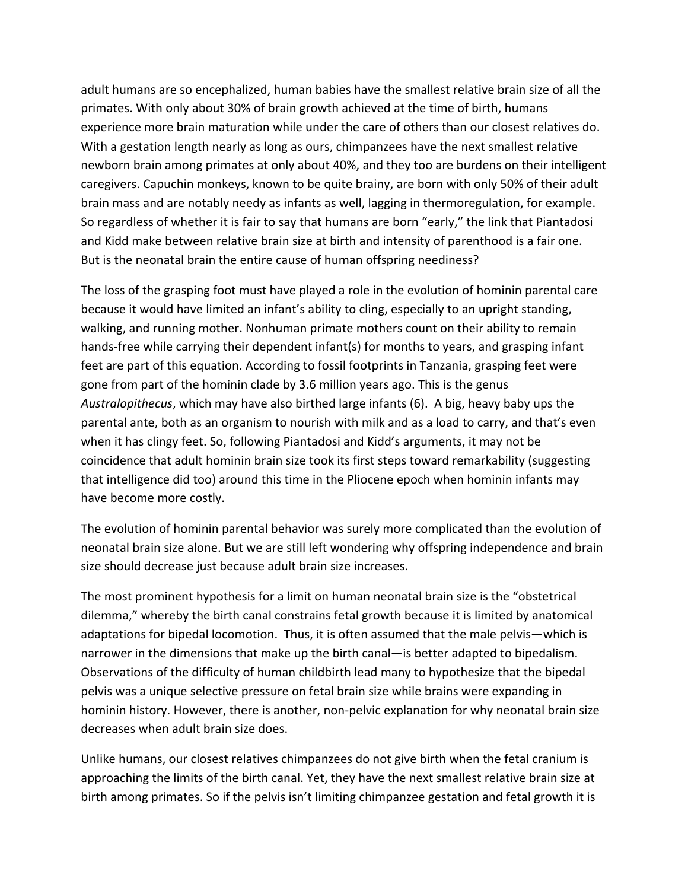adult humans are so encephalized, human babies have the smallest relative brain size of all the primates. With only about 30% of brain growth achieved at the time of birth, humans experience more brain maturation while under the care of others than our closest relatives do. With a gestation length nearly as long as ours, chimpanzees have the next smallest relative newborn brain among primates at only about 40%, and they too are burdens on their intelligent caregivers. Capuchin monkeys, known to be quite brainy, are born with only 50% of their adult brain mass and are notably needy as infants as well, lagging in thermoregulation, for example. So regardless of whether it is fair to say that humans are born "early," the link that Piantadosi and Kidd make between relative brain size at birth and intensity of parenthood is a fair one. But is the neonatal brain the entire cause of human offspring neediness?

The loss of the grasping foot must have played a role in the evolution of hominin parental care because it would have limited an infant's ability to cling, especially to an upright standing, walking, and running mother. Nonhuman primate mothers count on their ability to remain hands-free while carrying their dependent infant(s) for months to years, and grasping infant feet are part of this equation. According to fossil footprints in Tanzania, grasping feet were gone from part of the hominin clade by 3.6 million years ago. This is the genus Australopithecus, which may have also birthed large infants (6). A big, heavy baby ups the parental ante, both as an organism to nourish with milk and as a load to carry, and that's even when it has clingy feet. So, following Piantadosi and Kidd's arguments, it may not be coincidence that adult hominin brain size took its first steps toward remarkability (suggesting that intelligence did too) around this time in the Pliocene epoch when hominin infants may have become more costly.

The evolution of hominin parental behavior was surely more complicated than the evolution of neonatal brain size alone. But we are still left wondering why offspring independence and brain size should decrease just because adult brain size increases.

The most prominent hypothesis for a limit on human neonatal brain size is the "obstetrical dilemma," whereby the birth canal constrains fetal growth because it is limited by anatomical adaptations for bipedal locomotion. Thus, it is often assumed that the male pelvis—which is narrower in the dimensions that make up the birth canal—is better adapted to bipedalism. Observations of the difficulty of human childbirth lead many to hypothesize that the bipedal pelvis was a unique selective pressure on fetal brain size while brains were expanding in hominin history. However, there is another, non-pelvic explanation for why neonatal brain size decreases when adult brain size does.

Unlike humans, our closest relatives chimpanzees do not give birth when the fetal cranium is approaching the limits of the birth canal. Yet, they have the next smallest relative brain size at birth among primates. So if the pelvis isn't limiting chimpanzee gestation and fetal growth it is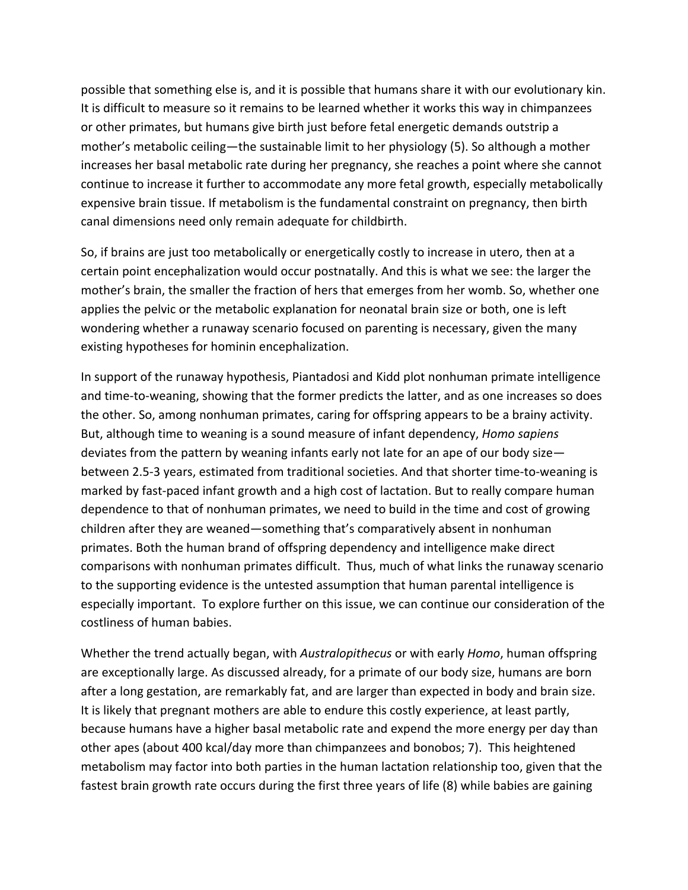possible that something else is, and it is possible that humans share it with our evolutionary kin. It is difficult to measure so it remains to be learned whether it works this way in chimpanzees or other primates, but humans give birth just before fetal energetic demands outstrip a mother's metabolic ceiling—the sustainable limit to her physiology (5). So although a mother increases her basal metabolic rate during her pregnancy, she reaches a point where she cannot continue to increase it further to accommodate any more fetal growth, especially metabolically expensive brain tissue. If metabolism is the fundamental constraint on pregnancy, then birth canal dimensions need only remain adequate for childbirth.

So, if brains are just too metabolically or energetically costly to increase in utero, then at a certain point encephalization would occur postnatally. And this is what we see: the larger the mother's brain, the smaller the fraction of hers that emerges from her womb. So, whether one applies the pelvic or the metabolic explanation for neonatal brain size or both, one is left wondering whether a runaway scenario focused on parenting is necessary, given the many existing hypotheses for hominin encephalization.

In support of the runaway hypothesis, Piantadosi and Kidd plot nonhuman primate intelligence and time-to-weaning, showing that the former predicts the latter, and as one increases so does the other. So, among nonhuman primates, caring for offspring appears to be a brainy activity. But, although time to weaning is a sound measure of infant dependency, *Homo sapiens* deviates from the pattern by weaning infants early not late for an ape of our body sizebetween 2.5-3 years, estimated from traditional societies. And that shorter time-to-weaning is marked by fast-paced infant growth and a high cost of lactation. But to really compare human dependence to that of nonhuman primates, we need to build in the time and cost of growing children after they are weaned—something that's comparatively absent in nonhuman primates. Both the human brand of offspring dependency and intelligence make direct comparisons with nonhuman primates difficult. Thus, much of what links the runaway scenario to the supporting evidence is the untested assumption that human parental intelligence is especially important. To explore further on this issue, we can continue our consideration of the costliness of human babies.

Whether the trend actually began, with *Australopithecus* or with early *Homo*, human offspring are exceptionally large. As discussed already, for a primate of our body size, humans are born after a long gestation, are remarkably fat, and are larger than expected in body and brain size. It is likely that pregnant mothers are able to endure this costly experience, at least partly, because humans have a higher basal metabolic rate and expend the more energy per day than other apes (about 400 kcal/day more than chimpanzees and bonobos; 7). This heightened metabolism may factor into both parties in the human lactation relationship too, given that the fastest brain growth rate occurs during the first three years of life (8) while babies are gaining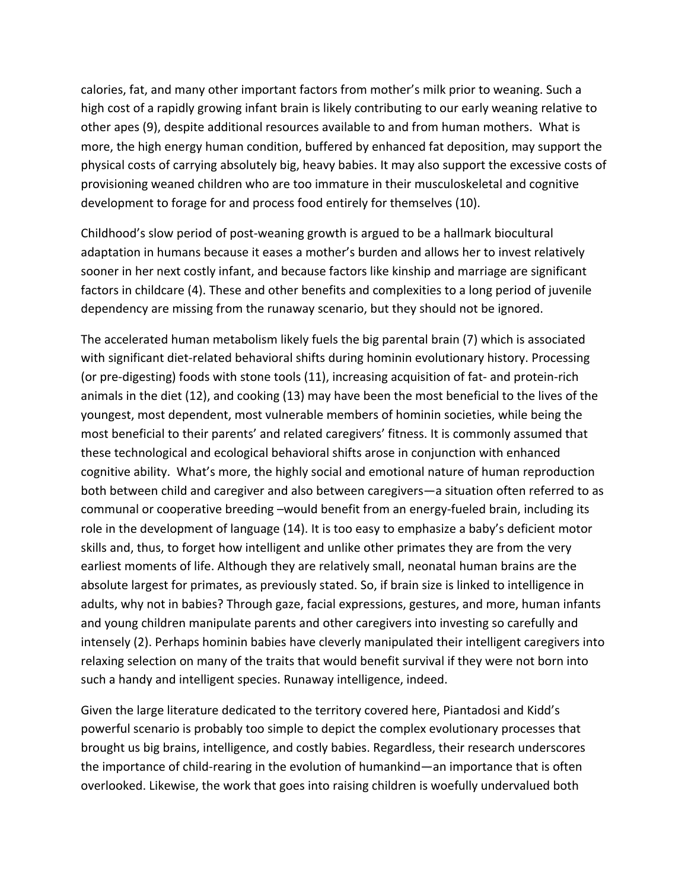calories, fat, and many other important factors from mother's milk prior to weaning. Such a high cost of a rapidly growing infant brain is likely contributing to our early weaning relative to other apes (9), despite additional resources available to and from human mothers. What is more, the high energy human condition, buffered by enhanced fat deposition, may support the physical costs of carrying absolutely big, heavy babies. It may also support the excessive costs of provisioning weaned children who are too immature in their musculoskeletal and cognitive development to forage for and process food entirely for themselves (10).

Childhood's slow period of post-weaning growth is argued to be a hallmark biocultural adaptation in humans because it eases a mother's burden and allows her to invest relatively sooner in her next costly infant, and because factors like kinship and marriage are significant factors in childcare (4). These and other benefits and complexities to a long period of juvenile dependency are missing from the runaway scenario, but they should not be ignored.

The accelerated human metabolism likely fuels the big parental brain (7) which is associated with significant diet-related behavioral shifts during hominin evolutionary history. Processing (or pre-digesting) foods with stone tools (11), increasing acquisition of fat- and protein-rich animals in the diet (12), and cooking (13) may have been the most beneficial to the lives of the youngest, most dependent, most vulnerable members of hominin societies, while being the most beneficial to their parents' and related caregivers' fitness. It is commonly assumed that these technological and ecological behavioral shifts arose in conjunction with enhanced cognitive ability. What's more, the highly social and emotional nature of human reproduction both between child and caregiver and also between caregivers—a situation often referred to as communal or cooperative breeding -would benefit from an energy-fueled brain, including its role in the development of language (14). It is too easy to emphasize a baby's deficient motor skills and, thus, to forget how intelligent and unlike other primates they are from the very earliest moments of life. Although they are relatively small, neonatal human brains are the absolute largest for primates, as previously stated. So, if brain size is linked to intelligence in adults, why not in babies? Through gaze, facial expressions, gestures, and more, human infants and young children manipulate parents and other caregivers into investing so carefully and intensely (2). Perhaps hominin babies have cleverly manipulated their intelligent caregivers into relaxing selection on many of the traits that would benefit survival if they were not born into such a handy and intelligent species. Runaway intelligence, indeed.

Given the large literature dedicated to the territory covered here, Piantadosi and Kidd's powerful scenario is probably too simple to depict the complex evolutionary processes that brought us big brains, intelligence, and costly babies. Regardless, their research underscores the importance of child-rearing in the evolution of humankind—an importance that is often overlooked. Likewise, the work that goes into raising children is woefully undervalued both